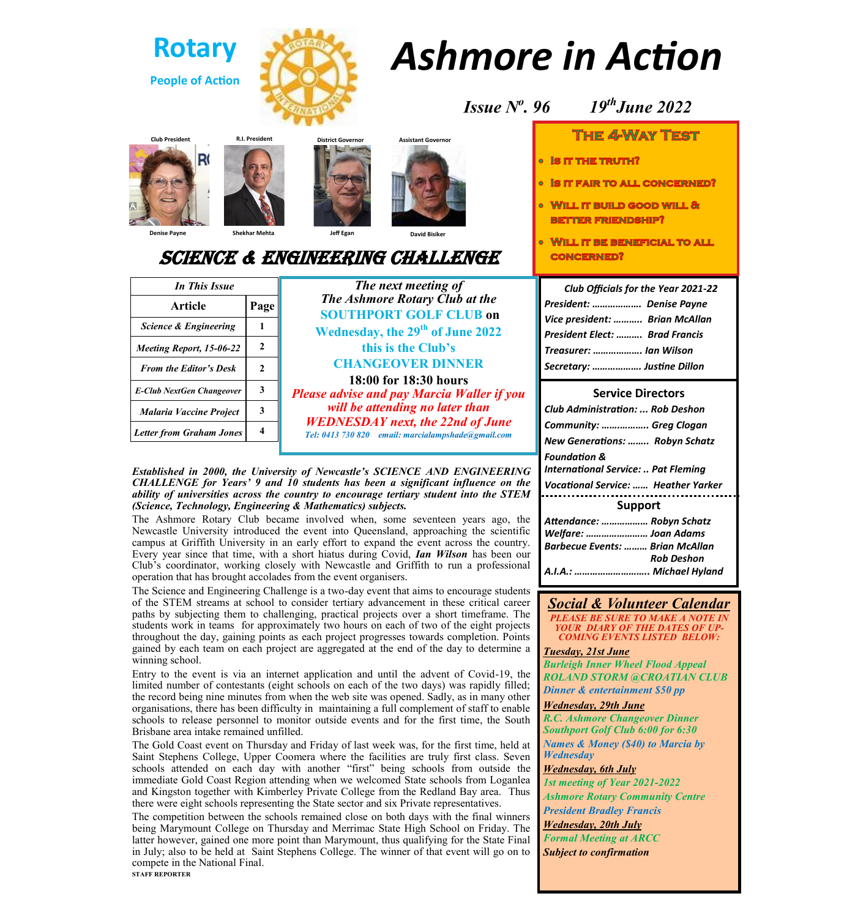

# *Ashmore in Action*







**Denise Payne Shekhar Mehta Jeff Egan David Bisiker**

# Science & engineering challenge

| In This Issue                    |                     | The next meeting of                                                                                                                                                                                                                                                                                                                                                                 |
|----------------------------------|---------------------|-------------------------------------------------------------------------------------------------------------------------------------------------------------------------------------------------------------------------------------------------------------------------------------------------------------------------------------------------------------------------------------|
| <b>Article</b>                   | Page                | The Ashmore Rotary Club at the<br><b>SOUTHPORT GOLF CLUB on</b><br>Wednesday, the 29 <sup>th</sup> of June 2022<br>this is the Club's<br><b>CHANGEOVER DINNER</b><br>18:00 for 18:30 hours<br><b>Please advise and pay Marcia Waller if you</b><br>will be attending no later than<br><b>WEDNESDAY</b> next, the 22nd of June<br>Tel: 0413 730 820 email: marcialampshade@gmail.com |
| <b>Science &amp; Engineering</b> |                     |                                                                                                                                                                                                                                                                                                                                                                                     |
| Meeting Report, 15-06-22         | $\mathbf{2}$        |                                                                                                                                                                                                                                                                                                                                                                                     |
| <b>From the Editor's Desk</b>    | $\mathfrak{D}$      |                                                                                                                                                                                                                                                                                                                                                                                     |
| E-Club NextGen Changeover        | 3                   |                                                                                                                                                                                                                                                                                                                                                                                     |
| <b>Malaria Vaccine Project</b>   | 3                   |                                                                                                                                                                                                                                                                                                                                                                                     |
| <b>Letter from Graham Jones</b>  | $\overline{\bf{4}}$ |                                                                                                                                                                                                                                                                                                                                                                                     |

#### *Established in 2000, the University of Newcastle's SCIENCE AND ENGINEERING CHALLENGE for Years' 9 and 10 students has been a significant influence on the ability of universities across the country to encourage tertiary student into the STEM (Science, Technology, Engineering & Mathematics) subjects.*

The Ashmore Rotary Club became involved when, some seventeen years ago, the Newcastle University introduced the event into Queensland, approaching the scientific campus at Griffith University in an early effort to expand the event across the country. Every year since that time, with a short hiatus during Covid, *Ian Wilson* has been our Club's coordinator, working closely with Newcastle and Griffith to run a professional operation that has brought accolades from the event organisers.

The Science and Engineering Challenge is a two-day event that aims to encourage students of the STEM streams at school to consider tertiary advancement in these critical career paths by subjecting them to challenging, practical projects over a short timeframe. The students work in teams for approximately two hours on each of two of the eight projects throughout the day, gaining points as each project progresses towards completion. Points gained by each team on each project are aggregated at the end of the day to determine a winning school.

Entry to the event is via an internet application and until the advent of Covid-19, the limited number of contestants (eight schools on each of the two days) was rapidly filled; the record being nine minutes from when the web site was opened. Sadly, as in many other organisations, there has been difficulty in maintaining a full complement of staff to enable schools to release personnel to monitor outside events and for the first time, the South Brisbane area intake remained unfilled.

The Gold Coast event on Thursday and Friday of last week was, for the first time, held at Saint Stephens College, Upper Coomera where the facilities are truly first class. Seven schools attended on each day with another "first" being schools from outside the immediate Gold Coast Region attending when we welcomed State schools from Loganlea and Kingston together with Kimberley Private College from the Redland Bay area. Thus there were eight schools representing the State sector and six Private representatives.

The competition between the schools remained close on both days with the final winners being Marymount College on Thursday and Merrimac State High School on Friday. The latter however, gained one more point than Marymount, thus qualifying for the State Final in July; also to be held at Saint Stephens College. The winner of that event will go on to compete in the National Final. **STAFF REPORTER**

*<i>Issue*  $N^o$ , 96 *. 96 19thJune 2022*

# The 4-Way Test

- IS IT THE TRUTH?
- IS IT FAIR TO ALL CONCERNED?  $\overline{O}$
- WILL IT BUILD GOOD WILL & **BETTER FRIENDSHIP?**
- WILL IT BE BENEFICIAL TO ALL **CONCERNED?**

| Club Officials for the Year 2021-22 |  |  |  |  |
|-------------------------------------|--|--|--|--|
| President:  Denise Payne            |  |  |  |  |
| Vice president:  Brian McAllan      |  |  |  |  |
| President Elect:  Brad Francis      |  |  |  |  |
| Treasurer:  Ian Wilson              |  |  |  |  |
| Secretary:  Justine Dillon          |  |  |  |  |

# **Service Directors** *Club Administration: ... Rob Deshon Community: …….……….. Greg Clogan New Generations: …….. Robyn Schatz Foundation & International Service: .. Pat Fleming Vocational Service: …… Heather Yarker* **Support** *Attendance: ……………… Robyn Schatz Welfare: …………………… Joan Adams Barbecue Events: ……… Brian McAllan Rob Deshon A.I.A.: ……………………….. Michael Hyland*

# *Social & Volunteer Calendar*

*PLEASE BE SURE TO MAKE A NOTE IN YOUR DIARY OF THE DATES OF UP-COMING EVENTS LISTED BELOW:*

*Tuesday, 21st June*

*Burleigh Inner Wheel Flood Appeal ROLAND STORM @CROATIAN CLUB Dinner & entertainment \$50 pp*

*Wednesday, 29th June R.C. Ashmore Changeover Dinner Southport Golf Club 6:00 for 6:30*

*Names & Money (\$40) to Marcia by Wednesday*

*Wednesday, 6th July*

*1st meeting of Year 2021-2022 Ashmore Rotary Community Centre President Bradley Francis*

*Wednesday, 20th July*

*Formal Meeting at ARCC Subject to confirmation*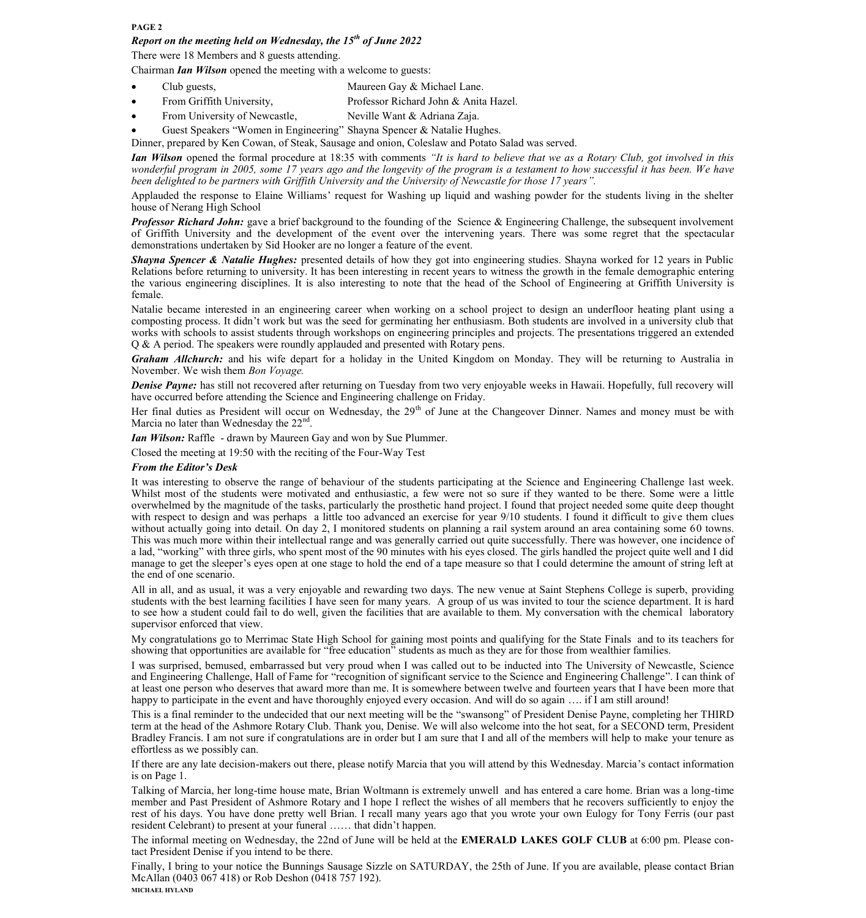#### **PAGE 2**

## *Report on the meeting held on Wednesday, the 15th of June 2022*

There were 18 Members and 8 guests attending.

Chairman *Ian Wilson* opened the meeting with a welcome to guests:

- Club guests, Maureen Gay & Michael Lane.
- From Griffith University, Professor Richard John & Anita Hazel.
- From University of Newcastle, Neville Want & Adriana Zaja.
- Guest Speakers "Women in Engineering" Shayna Spencer & Natalie Hughes.

Dinner, prepared by Ken Cowan, of Steak, Sausage and onion, Coleslaw and Potato Salad was served.

*Ian Wilson* opened the formal procedure at 18:35 with comments *"It is hard to believe that we as a Rotary Club, got involved in this wonderful program in 2005, some 17 years ago and the longevity of the program is a testament to how successful it has been. We have been delighted to be partners with Griffith University and the University of Newcastle for those 17 years".*

Applauded the response to Elaine Williams' request for Washing up liquid and washing powder for the students living in the shelter house of Nerang High School

*Professor Richard John:* gave a brief background to the founding of the Science & Engineering Challenge, the subsequent involvement of Griffith University and the development of the event over the intervening years. There was some regret that the spectacular demonstrations undertaken by Sid Hooker are no longer a feature of the event.

*Shayna Spencer & Natalie Hughes:* presented details of how they got into engineering studies. Shayna worked for 12 years in Public Relations before returning to university. It has been interesting in recent years to witness the growth in the female demographic entering the various engineering disciplines. It is also interesting to note that the head of the School of Engineering at Griffith University is female.

Natalie became interested in an engineering career when working on a school project to design an underfloor heating plant using a composting process. It didn't work but was the seed for germinating her enthusiasm. Both students are involved in a university club that works with schools to assist students through workshops on engineering principles and projects. The presentations triggered an extended Q & A period. The speakers were roundly applauded and presented with Rotary pens.

*Graham Allchurch:* and his wife depart for a holiday in the United Kingdom on Monday. They will be returning to Australia in November. We wish them *Bon Voyage.*

**Denise Payne:** has still not recovered after returning on Tuesday from two very enjoyable weeks in Hawaii. Hopefully, full recovery will have occurred before attending the Science and Engineering challenge on Friday.

Her final duties as President will occur on Wednesday, the 29<sup>th</sup> of June at the Changeover Dinner. Names and money must be with Marcia no later than Wednesday the 22<sup>nd</sup>.

*Ian Wilson:* Raffle - drawn by Maureen Gay and won by Sue Plummer.

Closed the meeting at 19:50 with the reciting of the Four-Way Test

#### *From the Editor's Desk*

It was interesting to observe the range of behaviour of the students participating at the Science and Engineering Challenge last week. Whilst most of the students were motivated and enthusiastic, a few were not so sure if they wanted to be there. Some were a little overwhelmed by the magnitude of the tasks, particularly the prosthetic hand project. I found that project needed some quite deep thought with respect to design and was perhaps a little too advanced an exercise for year 9/10 students. I found it difficult to give them clues without actually going into detail. On day 2, I monitored students on planning a rail system around an area containing some 60 towns. This was much more within their intellectual range and was generally carried out quite successfully. There was however, one incidence of a lad, "working" with three girls, who spent most of the 90 minutes with his eyes closed. The girls handled the project quite well and I did manage to get the sleeper's eyes open at one stage to hold the end of a tape measure so that I could determine the amount of string left at the end of one scenario.

All in all, and as usual, it was a very enjoyable and rewarding two days. The new venue at Saint Stephens College is superb, providing students with the best learning facilities I have seen for many years. A group of us was invited to tour the science department. It is hard to see how a student could fail to do well, given the facilities that are available to them. My conversation with the chemical laboratory supervisor enforced that view.

My congratulations go to Merrimac State High School for gaining most points and qualifying for the State Finals and to its teachers for showing that opportunities are available for "free education" students as much as they are for those from wealthier families.

I was surprised, bemused, embarrassed but very proud when I was called out to be inducted into The University of Newcastle, Science and Engineering Challenge, Hall of Fame for "recognition of significant service to the Science and Engineering Challenge". I can think of at least one person who deserves that award more than me. It is somewhere between twelve and fourteen years that I have been more that happy to participate in the event and have thoroughly enjoyed every occasion. And will do so again .... if I am still around!

This is a final reminder to the undecided that our next meeting will be the "swansong" of President Denise Payne, completing her THIRD term at the head of the Ashmore Rotary Club. Thank you, Denise. We will also welcome into the hot seat, for a SECOND term, President Bradley Francis. I am not sure if congratulations are in order but I am sure that I and all of the members will help to make your tenure as effortless as we possibly can.

If there are any late decision-makers out there, please notify Marcia that you will attend by this Wednesday. Marcia's contact information is on Page 1.

Talking of Marcia, her long-time house mate, Brian Woltmann is extremely unwell and has entered a care home. Brian was a long-time member and Past President of Ashmore Rotary and I hope I reflect the wishes of all members that he recovers sufficiently to enjoy the rest of his days. You have done pretty well Brian. I recall many years ago that you wrote your own Eulogy for Tony Ferris (our past resident Celebrant) to present at your funeral …… that didn't happen.

The informal meeting on Wednesday, the 22nd of June will be held at the **EMERALD LAKES GOLF CLUB** at 6:00 pm. Please contact President Denise if you intend to be there.

Finally, I bring to your notice the Bunnings Sausage Sizzle on SATURDAY, the 25th of June. If you are available, please contact Brian McAllan (0403 067 418) or Rob Deshon (0418 757 192). **MICHAEL HYLAND**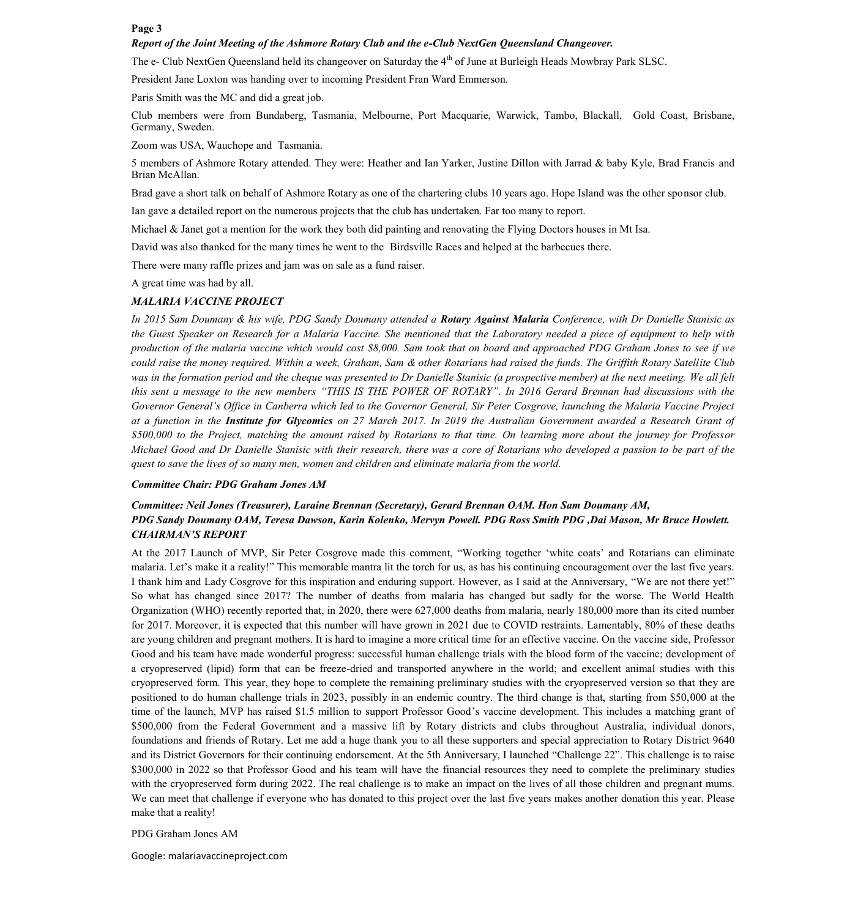#### **Page 3**

#### *Report of the Joint Meeting of the Ashmore Rotary Club and the e-Club NextGen Queensland Changeover.*

The e- Club NextGen Queensland held its changeover on Saturday the 4<sup>th</sup> of June at Burleigh Heads Mowbray Park SLSC.

President Jane Loxton was handing over to incoming President Fran Ward Emmerson.

Paris Smith was the MC and did a great job.

Club members were from Bundaberg, Tasmania, Melbourne, Port Macquarie, Warwick, Tambo, Blackall, Gold Coast, Brisbane, Germany, Sweden.

Zoom was USA, Wauchope and Tasmania.

5 members of Ashmore Rotary attended. They were: Heather and Ian Yarker, Justine Dillon with Jarrad & baby Kyle, Brad Francis and Brian McAllan.

Brad gave a short talk on behalf of Ashmore Rotary as one of the chartering clubs 10 years ago. Hope Island was the other sponsor club.

Ian gave a detailed report on the numerous projects that the club has undertaken. Far too many to report.

Michael & Janet got a mention for the work they both did painting and renovating the Flying Doctors houses in Mt Isa.

David was also thanked for the many times he went to the Birdsville Races and helped at the barbecues there.

There were many raffle prizes and jam was on sale as a fund raiser.

A great time was had by all.

#### *MALARIA VACCINE PROJECT*

*In 2015 Sam Doumany & his wife, PDG Sandy Doumany attended a Rotary Against Malaria Conference, with Dr Danielle Stanisic as the Guest Speaker on Research for a Malaria Vaccine. She mentioned that the Laboratory needed a piece of equipment to help with production of the malaria vaccine which would cost \$8,000. Sam took that on board and approached PDG Graham Jones to see if we could raise the money required. Within a week, Graham, Sam & other Rotarians had raised the funds. The Griffith Rotary Satellite Club was in the formation period and the cheque was presented to Dr Danielle Stanisic (a prospective member) at the next meeting. We all felt this sent a message to the new members "THIS IS THE POWER OF ROTARY". In 2016 Gerard Brennan had discussions with the Governor General's Office in Canberra which led to the Governor General, Sir Peter Cosgrove, launching the Malaria Vaccine Project at a function in the Institute for Glycomics on 27 March 2017. In 2019 the Australian Government awarded a Research Grant of \$500,000 to the Project, matching the amount raised by Rotarians to that time. On learning more about the journey for Professor Michael Good and Dr Danielle Stanisic with their research, there was a core of Rotarians who developed a passion to be part of the quest to save the lives of so many men, women and children and eliminate malaria from the world.* 

#### *Committee Chair: PDG Graham Jones AM*

## *Committee: Neil Jones (Treasurer), Laraine Brennan (Secretary), Gerard Brennan OAM. Hon Sam Doumany AM, PDG Sandy Doumany OAM, Teresa Dawson, Karin Kolenko, Mervyn Powell. PDG Ross Smith PDG ,Dai Mason, Mr Bruce Howlett. CHAIRMAN'S REPORT*

At the 2017 Launch of MVP, Sir Peter Cosgrove made this comment, "Working together 'white coats' and Rotarians can eliminate malaria. Let's make it a reality!" This memorable mantra lit the torch for us, as has his continuing encouragement over the last five years. I thank him and Lady Cosgrove for this inspiration and enduring support. However, as I said at the Anniversary, "We are not there yet!" So what has changed since 2017? The number of deaths from malaria has changed but sadly for the worse. The World Health Organization (WHO) recently reported that, in 2020, there were 627,000 deaths from malaria, nearly 180,000 more than its cited number for 2017. Moreover, it is expected that this number will have grown in 2021 due to COVID restraints. Lamentably, 80% of these deaths are young children and pregnant mothers. It is hard to imagine a more critical time for an effective vaccine. On the vaccine side, Professor Good and his team have made wonderful progress: successful human challenge trials with the blood form of the vaccine; development of a cryopreserved (lipid) form that can be freeze-dried and transported anywhere in the world; and excellent animal studies with this cryopreserved form. This year, they hope to complete the remaining preliminary studies with the cryopreserved version so that they are positioned to do human challenge trials in 2023, possibly in an endemic country. The third change is that, starting from \$50,000 at the time of the launch, MVP has raised \$1.5 million to support Professor Good's vaccine development. This includes a matching grant of \$500,000 from the Federal Government and a massive lift by Rotary districts and clubs throughout Australia, individual donors, foundations and friends of Rotary. Let me add a huge thank you to all these supporters and special appreciation to Rotary District 9640 and its District Governors for their continuing endorsement. At the 5th Anniversary, I launched "Challenge 22". This challenge is to raise \$300,000 in 2022 so that Professor Good and his team will have the financial resources they need to complete the preliminary studies with the cryopreserved form during 2022. The real challenge is to make an impact on the lives of all those children and pregnant mums. We can meet that challenge if everyone who has donated to this project over the last five years makes another donation this year. Please make that a reality!

#### PDG Graham Jones AM

Google: malariavaccineproject.com